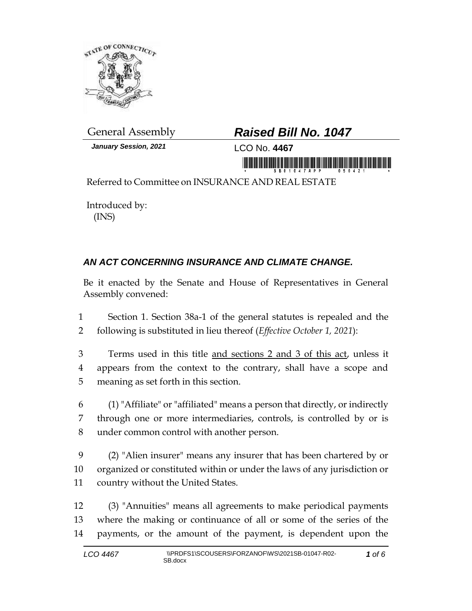

*January Session, 2021* LCO No. **4467**

## General Assembly *Raised Bill No. 1047*

ii www.nifthirididididid.com/ifthididididididididi

Referred to Committee on INSURANCE AND REAL ESTATE

Introduced by: (INS)

## *AN ACT CONCERNING INSURANCE AND CLIMATE CHANGE.*

Be it enacted by the Senate and House of Representatives in General Assembly convened:

1 Section 1. Section 38a-1 of the general statutes is repealed and the 2 following is substituted in lieu thereof (*Effective October 1, 2021*):

- 3 Terms used in this title and sections 2 and 3 of this act, unless it 4 appears from the context to the contrary, shall have a scope and 5 meaning as set forth in this section.
- 6 (1) "Affiliate" or "affiliated" means a person that directly, or indirectly 7 through one or more intermediaries, controls, is controlled by or is 8 under common control with another person.
- 9 (2) "Alien insurer" means any insurer that has been chartered by or 10 organized or constituted within or under the laws of any jurisdiction or 11 country without the United States.
- 12 (3) "Annuities" means all agreements to make periodical payments 13 where the making or continuance of all or some of the series of the 14 payments, or the amount of the payment, is dependent upon the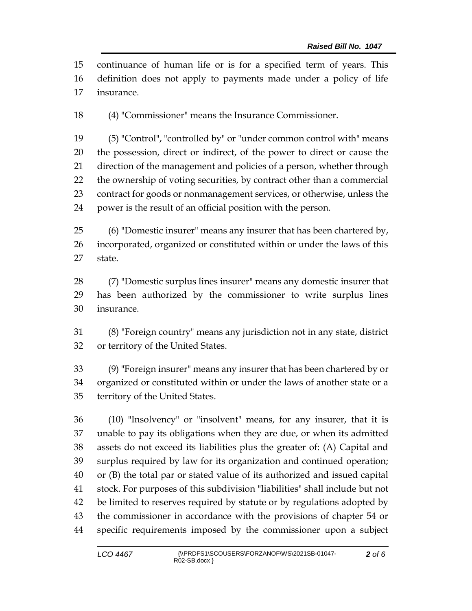continuance of human life or is for a specified term of years. This definition does not apply to payments made under a policy of life insurance.

(4) "Commissioner" means the Insurance Commissioner.

 (5) "Control", "controlled by" or "under common control with" means the possession, direct or indirect, of the power to direct or cause the direction of the management and policies of a person, whether through the ownership of voting securities, by contract other than a commercial contract for goods or nonmanagement services, or otherwise, unless the power is the result of an official position with the person.

 (6) "Domestic insurer" means any insurer that has been chartered by, incorporated, organized or constituted within or under the laws of this state.

 (7) "Domestic surplus lines insurer" means any domestic insurer that has been authorized by the commissioner to write surplus lines insurance.

 (8) "Foreign country" means any jurisdiction not in any state, district or territory of the United States.

 (9) "Foreign insurer" means any insurer that has been chartered by or organized or constituted within or under the laws of another state or a territory of the United States.

 (10) "Insolvency" or "insolvent" means, for any insurer, that it is unable to pay its obligations when they are due, or when its admitted assets do not exceed its liabilities plus the greater of: (A) Capital and surplus required by law for its organization and continued operation; or (B) the total par or stated value of its authorized and issued capital stock. For purposes of this subdivision "liabilities" shall include but not be limited to reserves required by statute or by regulations adopted by the commissioner in accordance with the provisions of chapter 54 or specific requirements imposed by the commissioner upon a subject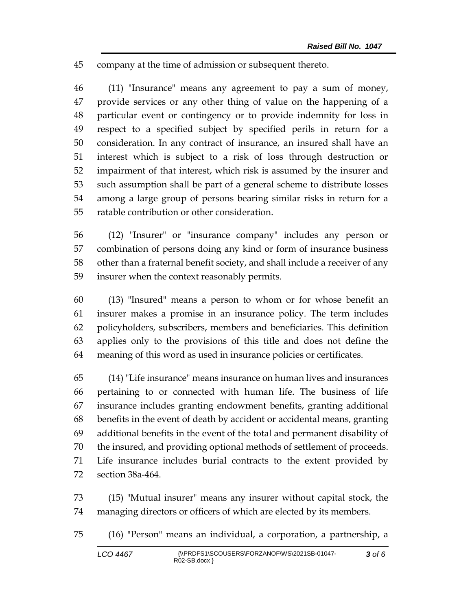company at the time of admission or subsequent thereto.

 (11) "Insurance" means any agreement to pay a sum of money, provide services or any other thing of value on the happening of a particular event or contingency or to provide indemnity for loss in respect to a specified subject by specified perils in return for a consideration. In any contract of insurance, an insured shall have an interest which is subject to a risk of loss through destruction or impairment of that interest, which risk is assumed by the insurer and such assumption shall be part of a general scheme to distribute losses among a large group of persons bearing similar risks in return for a ratable contribution or other consideration.

 (12) "Insurer" or "insurance company" includes any person or combination of persons doing any kind or form of insurance business other than a fraternal benefit society, and shall include a receiver of any insurer when the context reasonably permits.

 (13) "Insured" means a person to whom or for whose benefit an insurer makes a promise in an insurance policy. The term includes policyholders, subscribers, members and beneficiaries. This definition applies only to the provisions of this title and does not define the meaning of this word as used in insurance policies or certificates.

 (14) "Life insurance" means insurance on human lives and insurances pertaining to or connected with human life. The business of life insurance includes granting endowment benefits, granting additional benefits in the event of death by accident or accidental means, granting additional benefits in the event of the total and permanent disability of the insured, and providing optional methods of settlement of proceeds. Life insurance includes burial contracts to the extent provided by section 38a-464.

 (15) "Mutual insurer" means any insurer without capital stock, the managing directors or officers of which are elected by its members.

(16) "Person" means an individual, a corporation, a partnership, a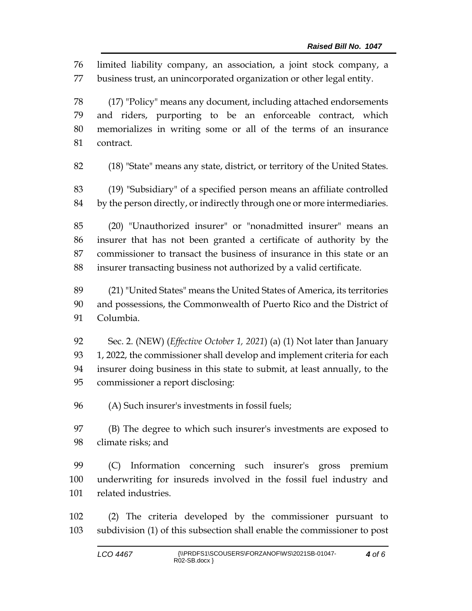limited liability company, an association, a joint stock company, a business trust, an unincorporated organization or other legal entity.

 (17) "Policy" means any document, including attached endorsements and riders, purporting to be an enforceable contract, which memorializes in writing some or all of the terms of an insurance contract.

(18) "State" means any state, district, or territory of the United States.

 (19) "Subsidiary" of a specified person means an affiliate controlled by the person directly, or indirectly through one or more intermediaries.

 (20) "Unauthorized insurer" or "nonadmitted insurer" means an insurer that has not been granted a certificate of authority by the commissioner to transact the business of insurance in this state or an insurer transacting business not authorized by a valid certificate.

 (21) "United States" means the United States of America, its territories and possessions, the Commonwealth of Puerto Rico and the District of Columbia.

 Sec. 2. (NEW) (*Effective October 1, 2021*) (a) (1) Not later than January 93 1, 2022, the commissioner shall develop and implement criteria for each insurer doing business in this state to submit, at least annually, to the commissioner a report disclosing:

(A) Such insurer's investments in fossil fuels;

 (B) The degree to which such insurer's investments are exposed to climate risks; and

 (C) Information concerning such insurer's gross premium underwriting for insureds involved in the fossil fuel industry and related industries.

 (2) The criteria developed by the commissioner pursuant to subdivision (1) of this subsection shall enable the commissioner to post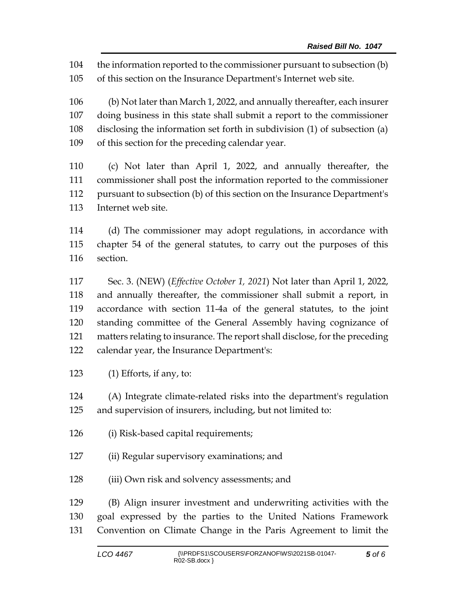the information reported to the commissioner pursuant to subsection (b) of this section on the Insurance Department's Internet web site.

 (b) Not later than March 1, 2022, and annually thereafter, each insurer doing business in this state shall submit a report to the commissioner disclosing the information set forth in subdivision (1) of subsection (a) of this section for the preceding calendar year.

 (c) Not later than April 1, 2022, and annually thereafter, the commissioner shall post the information reported to the commissioner pursuant to subsection (b) of this section on the Insurance Department's Internet web site.

 (d) The commissioner may adopt regulations, in accordance with chapter 54 of the general statutes, to carry out the purposes of this section.

 Sec. 3. (NEW) (*Effective October 1, 2021*) Not later than April 1, 2022, and annually thereafter, the commissioner shall submit a report, in accordance with section 11-4a of the general statutes, to the joint standing committee of the General Assembly having cognizance of matters relating to insurance. The report shall disclose, for the preceding calendar year, the Insurance Department's:

(1) Efforts, if any, to:

 (A) Integrate climate-related risks into the department's regulation and supervision of insurers, including, but not limited to:

- (i) Risk-based capital requirements;
- (ii) Regular supervisory examinations; and
- (iii) Own risk and solvency assessments; and

 (B) Align insurer investment and underwriting activities with the goal expressed by the parties to the United Nations Framework Convention on Climate Change in the Paris Agreement to limit the